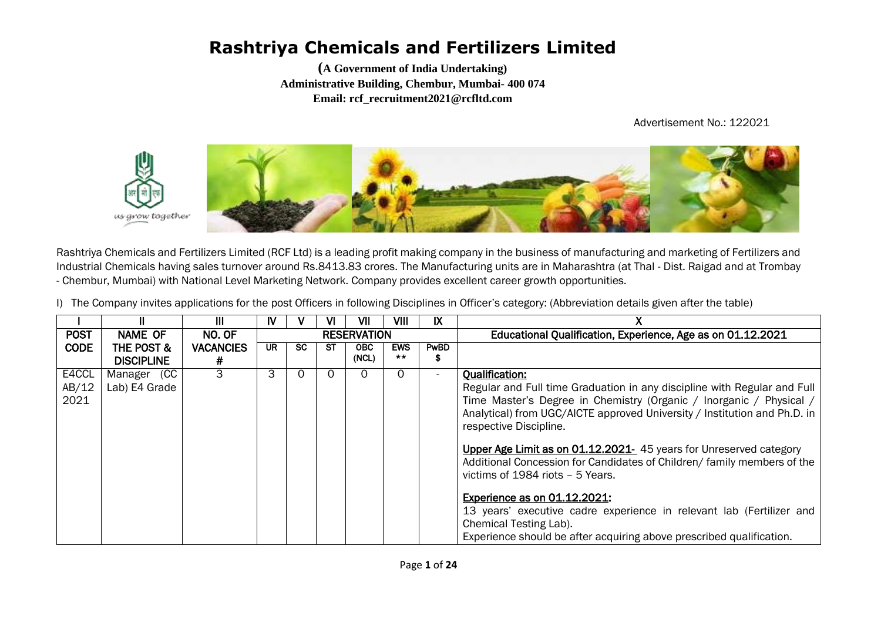**(A Government of India Undertaking) Administrative Building, Chembur, Mumbai- 400 074 Email: rcf\_recruitment2021@rcfltd.com**

Advertisement No.: 122021



Rashtriya Chemicals and Fertilizers Limited (RCF Ltd) is a leading profit making company in the business of manufacturing and marketing of Fertilizers and Industrial Chemicals having sales turnover around Rs.8413.83 crores. The Manufacturing units are in Maharashtra (at Thal - Dist. Raigad and at Trombay - Chembur, Mumbai) with National Level Marketing Network. Company provides excellent career growth opportunities.

I) The Company invites applications for the post Officers in following Disciplines in Officer's category: (Abbreviation details given after the table)

|             |                       | Ш                | IV  |     | VI | VII                | VIII                | IX          |                                                                           |
|-------------|-----------------------|------------------|-----|-----|----|--------------------|---------------------|-------------|---------------------------------------------------------------------------|
| <b>POST</b> | <b>NAME OF</b>        | NO. OF           |     |     |    | <b>RESERVATION</b> |                     |             | Educational Qualification, Experience, Age as on 01.12.2021               |
| <b>CODE</b> | <b>THE POST &amp;</b> | <b>VACANCIES</b> | UR. | SC. | SТ | <b>OBC</b>         | <b>EWS</b><br>$***$ | <b>PwBD</b> |                                                                           |
|             | <b>DISCIPLINE</b>     | #                |     |     |    | (NCL)              |                     | ъ           |                                                                           |
| E4CCL       | Manager (CC           | 3                | 3   |     |    | 0                  | $\mathbf{U}$        |             | <b>Qualification:</b>                                                     |
| AB/12       | Lab) E4 Grade         |                  |     |     |    |                    |                     |             | Regular and Full time Graduation in any discipline with Regular and Full  |
| 2021        |                       |                  |     |     |    |                    |                     |             | Time Master's Degree in Chemistry (Organic / Inorganic / Physical /       |
|             |                       |                  |     |     |    |                    |                     |             | Analytical) from UGC/AICTE approved University / Institution and Ph.D. in |
|             |                       |                  |     |     |    |                    |                     |             | respective Discipline.                                                    |
|             |                       |                  |     |     |    |                    |                     |             |                                                                           |
|             |                       |                  |     |     |    |                    |                     |             | Upper Age Limit as on 01.12.2021- 45 years for Unreserved category        |
|             |                       |                  |     |     |    |                    |                     |             | Additional Concession for Candidates of Children/ family members of the   |
|             |                       |                  |     |     |    |                    |                     |             | victims of 1984 riots - 5 Years.                                          |
|             |                       |                  |     |     |    |                    |                     |             | <b>Experience as on 01.12.2021:</b>                                       |
|             |                       |                  |     |     |    |                    |                     |             | 13 years' executive cadre experience in relevant lab (Fertilizer and      |
|             |                       |                  |     |     |    |                    |                     |             | Chemical Testing Lab).                                                    |
|             |                       |                  |     |     |    |                    |                     |             | Experience should be after acquiring above prescribed qualification.      |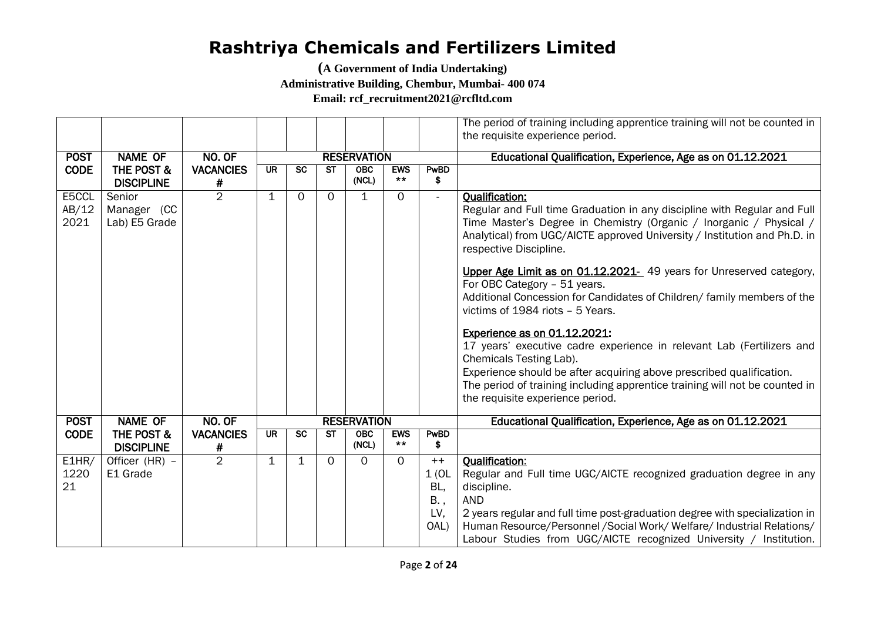**(A Government of India Undertaking)** 

**Administrative Building, Chembur, Mumbai- 400 074**

**Email: rcf\_recruitment2021@rcfltd.com**

|                                        |                                        |                       |                    |             |             |                                                             |                     |                                            | The period of training including apprentice training will not be counted in<br>the requisite experience period.                                                                                                                                                                                                                                                                                                                                                                                                                                                                                                                                                                                                                                                                                                                      |
|----------------------------------------|----------------------------------------|-----------------------|--------------------|-------------|-------------|-------------------------------------------------------------|---------------------|--------------------------------------------|--------------------------------------------------------------------------------------------------------------------------------------------------------------------------------------------------------------------------------------------------------------------------------------------------------------------------------------------------------------------------------------------------------------------------------------------------------------------------------------------------------------------------------------------------------------------------------------------------------------------------------------------------------------------------------------------------------------------------------------------------------------------------------------------------------------------------------------|
| <b>POST</b>                            | <b>NAME OF</b>                         | NO. OF                | <b>RESERVATION</b> |             |             | Educational Qualification, Experience, Age as on 01.12.2021 |                     |                                            |                                                                                                                                                                                                                                                                                                                                                                                                                                                                                                                                                                                                                                                                                                                                                                                                                                      |
| <b>CODE</b>                            | THE POST &<br><b>DISCIPLINE</b>        | <b>VACANCIES</b><br># | <b>UR</b>          | <b>SC</b>   | <b>ST</b>   | <b>OBC</b><br>(NCL)                                         | <b>EWS</b><br>$***$ | PwBD<br>\$                                 |                                                                                                                                                                                                                                                                                                                                                                                                                                                                                                                                                                                                                                                                                                                                                                                                                                      |
| E5CCL<br>AB/12<br>2021                 | Senior<br>Manager (CC<br>Lab) E5 Grade | $\overline{2}$        | 1                  | $\Omega$    | $\Omega$    | $\mathbf{1}$                                                | $\Omega$            | $\overline{\phantom{a}}$                   | <b>Qualification:</b><br>Regular and Full time Graduation in any discipline with Regular and Full<br>Time Master's Degree in Chemistry (Organic / Inorganic / Physical /<br>Analytical) from UGC/AICTE approved University / Institution and Ph.D. in<br>respective Discipline.<br>Upper Age Limit as on 01.12.2021- 49 years for Unreserved category,<br>For OBC Category - 51 years.<br>Additional Concession for Candidates of Children/ family members of the<br>victims of 1984 riots - 5 Years.<br>Experience as on 01.12.2021:<br>17 years' executive cadre experience in relevant Lab (Fertilizers and<br>Chemicals Testing Lab).<br>Experience should be after acquiring above prescribed qualification.<br>The period of training including apprentice training will not be counted in<br>the requisite experience period. |
| <b>POST</b>                            | <b>NAME OF</b>                         | NO. OF                |                    |             |             | <b>RESERVATION</b>                                          |                     |                                            | Educational Qualification, Experience, Age as on 01.12.2021                                                                                                                                                                                                                                                                                                                                                                                                                                                                                                                                                                                                                                                                                                                                                                          |
| <b>CODE</b>                            | THE POST &<br><b>DISCIPLINE</b>        | <b>VACANCIES</b><br># | <b>UR</b>          | <b>SC</b>   | <b>ST</b>   | OBC<br>(NCL)                                                | <b>EWS</b><br>$***$ | PwBD<br>\$                                 |                                                                                                                                                                                                                                                                                                                                                                                                                                                                                                                                                                                                                                                                                                                                                                                                                                      |
| $E\overline{\text{HIR}}$<br>1220<br>21 | Officer (HR) -<br>E1 Grade             | $\overline{2}$        | 1                  | $\mathbf 1$ | $\mathbf 0$ | $\Omega$                                                    | $\Omega$            | $++$<br>1(0L)<br>BL,<br>B.,<br>LV,<br>OAL) | <b>Qualification:</b><br>Regular and Full time UGC/AICTE recognized graduation degree in any<br>discipline.<br><b>AND</b><br>2 years regular and full time post-graduation degree with specialization in<br>Human Resource/Personnel / Social Work/ Welfare/ Industrial Relations/<br>Labour Studies from UGC/AICTE recognized University / Institution.                                                                                                                                                                                                                                                                                                                                                                                                                                                                             |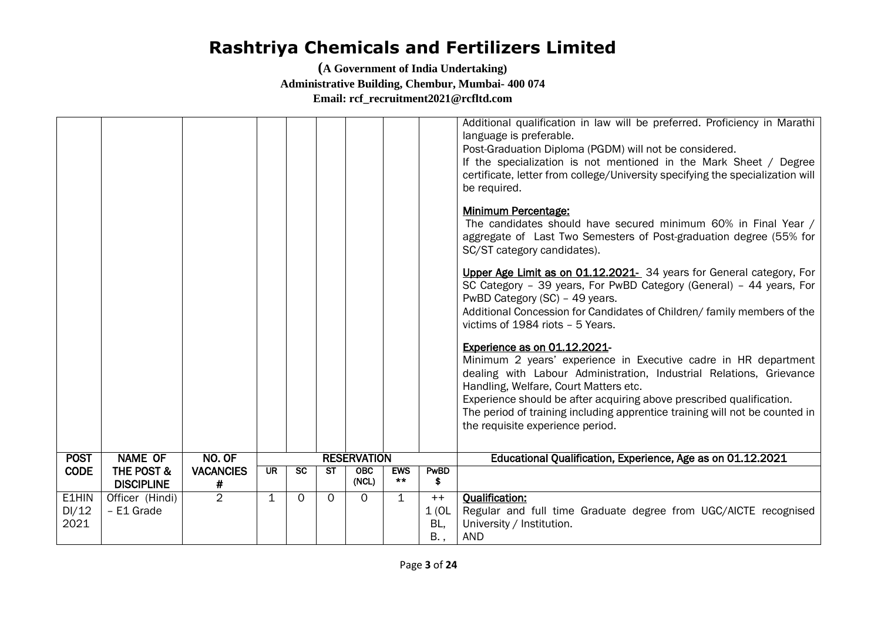|                        |                                            |                       |                          |                 |                                   |                    |                     |                             | Additional qualification in law will be preferred. Proficiency in Marathi<br>language is preferable.<br>Post-Graduation Diploma (PGDM) will not be considered.<br>If the specialization is not mentioned in the Mark Sheet / Degree<br>certificate, letter from college/University specifying the specialization will<br>be required.                                                                      |
|------------------------|--------------------------------------------|-----------------------|--------------------------|-----------------|-----------------------------------|--------------------|---------------------|-----------------------------|------------------------------------------------------------------------------------------------------------------------------------------------------------------------------------------------------------------------------------------------------------------------------------------------------------------------------------------------------------------------------------------------------------|
|                        |                                            |                       |                          |                 |                                   |                    |                     |                             | <b>Minimum Percentage:</b><br>The candidates should have secured minimum 60% in Final Year /<br>aggregate of Last Two Semesters of Post-graduation degree (55% for<br>SC/ST category candidates).                                                                                                                                                                                                          |
|                        |                                            |                       |                          |                 |                                   |                    |                     |                             | Upper Age Limit as on 01.12.2021- 34 years for General category, For<br>SC Category - 39 years, For PwBD Category (General) - 44 years, For<br>PwBD Category (SC) - 49 years.<br>Additional Concession for Candidates of Children/ family members of the<br>victims of 1984 riots - 5 Years.                                                                                                               |
|                        |                                            |                       |                          |                 |                                   |                    |                     |                             | Experience as on 01.12.2021-<br>Minimum 2 years' experience in Executive cadre in HR department<br>dealing with Labour Administration, Industrial Relations, Grievance<br>Handling, Welfare, Court Matters etc.<br>Experience should be after acquiring above prescribed qualification.<br>The period of training including apprentice training will not be counted in<br>the requisite experience period. |
| <b>POST</b>            | <b>NAME OF</b>                             | NO. OF                |                          |                 |                                   | <b>RESERVATION</b> |                     |                             | Educational Qualification, Experience, Age as on 01.12.2021                                                                                                                                                                                                                                                                                                                                                |
| <b>CODE</b>            | <b>THE POST &amp;</b><br><b>DISCIPLINE</b> | <b>VACANCIES</b><br># | $\overline{\mathsf{UR}}$ | $\overline{sc}$ | $\overline{\mathsf{S}\mathsf{T}}$ | OBC<br>(NCL)       | <b>EWS</b><br>$***$ | PwBD<br>\$                  |                                                                                                                                                                                                                                                                                                                                                                                                            |
| E1HIN<br>DI/12<br>2021 | Officer (Hindi)<br>- E1 Grade              | $\overline{2}$        | $\mathbf{1}$             | $\Omega$        | $\Omega$                          | $\Omega$           | $\mathbf{1}$        | $++$<br>1(0L)<br>BL,<br>B., | <b>Oualification:</b><br>Regular and full time Graduate degree from UGC/AICTE recognised<br>University / Institution.<br><b>AND</b>                                                                                                                                                                                                                                                                        |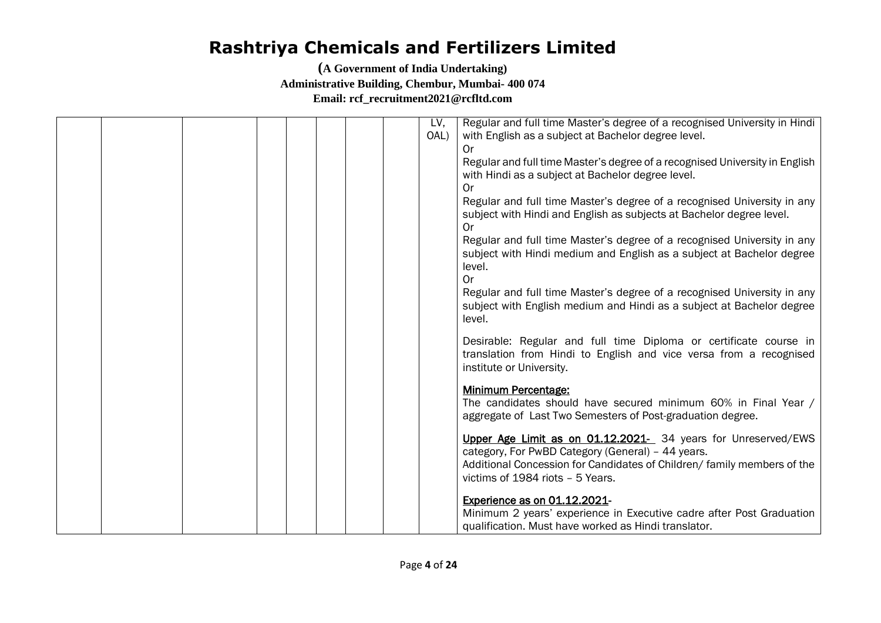|  | LV,<br>OAL) | Regular and full time Master's degree of a recognised University in Hindi<br>with English as a subject at Bachelor degree level.                                                                                                  |
|--|-------------|-----------------------------------------------------------------------------------------------------------------------------------------------------------------------------------------------------------------------------------|
|  |             | 0r                                                                                                                                                                                                                                |
|  |             | Regular and full time Master's degree of a recognised University in English<br>with Hindi as a subject at Bachelor degree level.                                                                                                  |
|  |             | 0r<br>Regular and full time Master's degree of a recognised University in any<br>subject with Hindi and English as subjects at Bachelor degree level.<br>0r                                                                       |
|  |             | Regular and full time Master's degree of a recognised University in any<br>subject with Hindi medium and English as a subject at Bachelor degree<br>level.<br><b>Or</b>                                                           |
|  |             | Regular and full time Master's degree of a recognised University in any<br>subject with English medium and Hindi as a subject at Bachelor degree<br>level.                                                                        |
|  |             | Desirable: Regular and full time Diploma or certificate course in<br>translation from Hindi to English and vice versa from a recognised<br>institute or University.                                                               |
|  |             | <b>Minimum Percentage:</b><br>The candidates should have secured minimum 60% in Final Year /<br>aggregate of Last Two Semesters of Post-graduation degree.                                                                        |
|  |             | Upper Age Limit as on 01.12.2021- 34 years for Unreserved/EWS<br>category, For PwBD Category (General) - 44 years.<br>Additional Concession for Candidates of Children/ family members of the<br>victims of 1984 riots - 5 Years. |
|  |             | <b>Experience as on 01.12.2021-</b><br>Minimum 2 years' experience in Executive cadre after Post Graduation<br>qualification. Must have worked as Hindi translator.                                                               |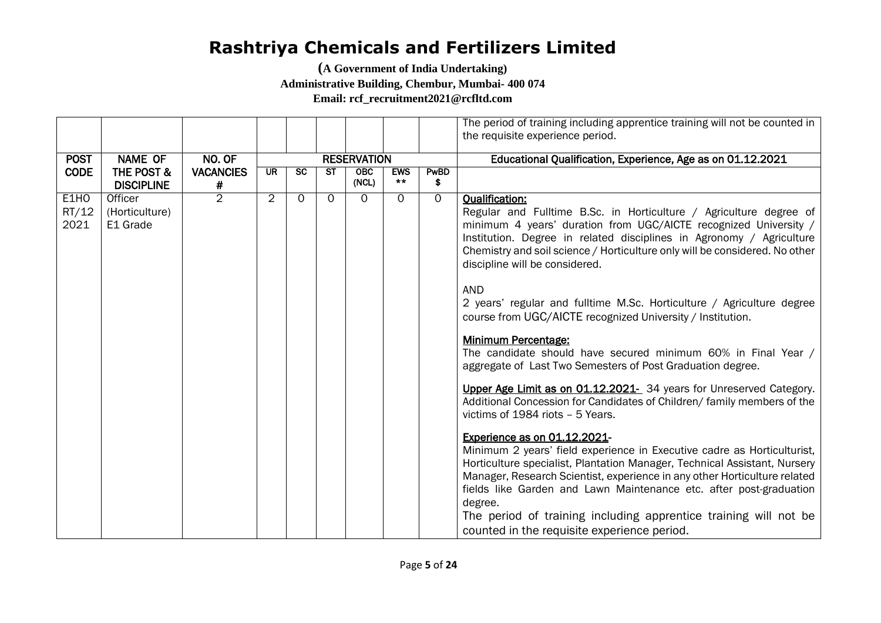**(A Government of India Undertaking)** 

**Administrative Building, Chembur, Mumbai- 400 074**

**Email: rcf\_recruitment2021@rcfltd.com**

|             |                       |                  |                |                          |           |                    |            |             | The period of training including apprentice training will not be counted in |
|-------------|-----------------------|------------------|----------------|--------------------------|-----------|--------------------|------------|-------------|-----------------------------------------------------------------------------|
|             |                       |                  |                |                          |           |                    |            |             | the requisite experience period.                                            |
|             |                       |                  |                |                          |           |                    |            |             |                                                                             |
| <b>POST</b> | <b>NAME OF</b>        | NO. OF           |                |                          |           | <b>RESERVATION</b> |            |             | Educational Qualification, Experience, Age as on 01.12.2021                 |
| <b>CODE</b> | <b>THE POST &amp;</b> | <b>VACANCIES</b> | UR.            | $\overline{\mathsf{sc}}$ | <b>ST</b> | <b>OBC</b>         | <b>EWS</b> | <b>PwBD</b> |                                                                             |
|             | <b>DISCIPLINE</b>     | #                |                |                          |           | (NCL)              | $***$      | \$          |                                                                             |
| E1HO        | Officer               | $\overline{2}$   | $\overline{2}$ | $\Omega$                 | $\Omega$  | $\Omega$           | $\Omega$   | $\Omega$    | <b>Qualification:</b>                                                       |
| RT/12       | (Horticulture)        |                  |                |                          |           |                    |            |             | Regular and Fulltime B.Sc. in Horticulture / Agriculture degree of          |
| 2021        | E1 Grade              |                  |                |                          |           |                    |            |             | minimum 4 years' duration from UGC/AICTE recognized University /            |
|             |                       |                  |                |                          |           |                    |            |             | Institution. Degree in related disciplines in Agronomy / Agriculture        |
|             |                       |                  |                |                          |           |                    |            |             | Chemistry and soil science / Horticulture only will be considered. No other |
|             |                       |                  |                |                          |           |                    |            |             | discipline will be considered.                                              |
|             |                       |                  |                |                          |           |                    |            |             |                                                                             |
|             |                       |                  |                |                          |           |                    |            |             | <b>AND</b>                                                                  |
|             |                       |                  |                |                          |           |                    |            |             | 2 years' regular and fulltime M.Sc. Horticulture / Agriculture degree       |
|             |                       |                  |                |                          |           |                    |            |             | course from UGC/AICTE recognized University / Institution.                  |
|             |                       |                  |                |                          |           |                    |            |             |                                                                             |
|             |                       |                  |                |                          |           |                    |            |             | <b>Minimum Percentage:</b>                                                  |
|             |                       |                  |                |                          |           |                    |            |             | The candidate should have secured minimum 60% in Final Year /               |
|             |                       |                  |                |                          |           |                    |            |             | aggregate of Last Two Semesters of Post Graduation degree.                  |
|             |                       |                  |                |                          |           |                    |            |             |                                                                             |
|             |                       |                  |                |                          |           |                    |            |             | Upper Age Limit as on 01.12.2021- 34 years for Unreserved Category.         |
|             |                       |                  |                |                          |           |                    |            |             | Additional Concession for Candidates of Children/ family members of the     |
|             |                       |                  |                |                          |           |                    |            |             | victims of 1984 riots - 5 Years.                                            |
|             |                       |                  |                |                          |           |                    |            |             |                                                                             |
|             |                       |                  |                |                          |           |                    |            |             | Experience as on 01.12.2021-                                                |
|             |                       |                  |                |                          |           |                    |            |             | Minimum 2 years' field experience in Executive cadre as Horticulturist,     |
|             |                       |                  |                |                          |           |                    |            |             | Horticulture specialist, Plantation Manager, Technical Assistant, Nursery   |
|             |                       |                  |                |                          |           |                    |            |             | Manager, Research Scientist, experience in any other Horticulture related   |
|             |                       |                  |                |                          |           |                    |            |             | fields like Garden and Lawn Maintenance etc. after post-graduation          |
|             |                       |                  |                |                          |           |                    |            |             | degree.                                                                     |
|             |                       |                  |                |                          |           |                    |            |             | The period of training including apprentice training will not be            |
|             |                       |                  |                |                          |           |                    |            |             | counted in the requisite experience period.                                 |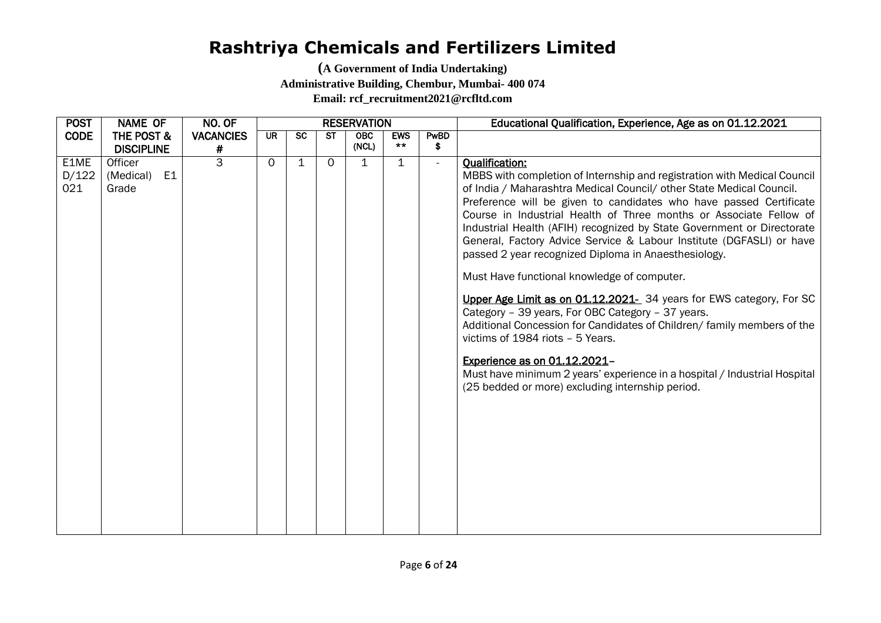| <b>POST</b>          | <b>NAME OF</b>                                                       | NO. OF           |           |           |           | <b>RESERVATION</b> |            |                      | Educational Qualification, Experience, Age as on 01.12.2021                                                                                                                                                                                                                                                                                                                                                                                                                                                                                                                                                                                                                                                                                                                                                                                                                                                                                                                                |
|----------------------|----------------------------------------------------------------------|------------------|-----------|-----------|-----------|--------------------|------------|----------------------|--------------------------------------------------------------------------------------------------------------------------------------------------------------------------------------------------------------------------------------------------------------------------------------------------------------------------------------------------------------------------------------------------------------------------------------------------------------------------------------------------------------------------------------------------------------------------------------------------------------------------------------------------------------------------------------------------------------------------------------------------------------------------------------------------------------------------------------------------------------------------------------------------------------------------------------------------------------------------------------------|
| <b>CODE</b>          | <b>THE POST &amp;</b>                                                | <b>VACANCIES</b> | <b>UR</b> | <b>SC</b> | <b>ST</b> | <b>OBC</b>         | <b>EWS</b> | PwBD                 |                                                                                                                                                                                                                                                                                                                                                                                                                                                                                                                                                                                                                                                                                                                                                                                                                                                                                                                                                                                            |
|                      |                                                                      | #                |           |           |           |                    |            |                      |                                                                                                                                                                                                                                                                                                                                                                                                                                                                                                                                                                                                                                                                                                                                                                                                                                                                                                                                                                                            |
| E1ME<br>D/122<br>021 | <b>DISCIPLINE</b><br>Officer<br>E <sub>1</sub><br>(Medical)<br>Grade | $\overline{3}$   | $\Omega$  | 1         | $\Omega$  | (NCL)<br>1         | $***$<br>1 | \$<br>$\blacksquare$ | <b>Oualification:</b><br>MBBS with completion of Internship and registration with Medical Council<br>of India / Maharashtra Medical Council/ other State Medical Council.<br>Preference will be given to candidates who have passed Certificate<br>Course in Industrial Health of Three months or Associate Fellow of<br>Industrial Health (AFIH) recognized by State Government or Directorate<br>General, Factory Advice Service & Labour Institute (DGFASLI) or have<br>passed 2 year recognized Diploma in Anaesthesiology.<br>Must Have functional knowledge of computer.<br>Upper Age Limit as on 01.12.2021- 34 years for EWS category, For SC<br>Category - 39 years, For OBC Category - 37 years.<br>Additional Concession for Candidates of Children/ family members of the<br>victims of 1984 riots - 5 Years.<br>Experience as on 01.12.2021-<br>Must have minimum 2 years' experience in a hospital / Industrial Hospital<br>(25 bedded or more) excluding internship period. |
|                      |                                                                      |                  |           |           |           |                    |            |                      |                                                                                                                                                                                                                                                                                                                                                                                                                                                                                                                                                                                                                                                                                                                                                                                                                                                                                                                                                                                            |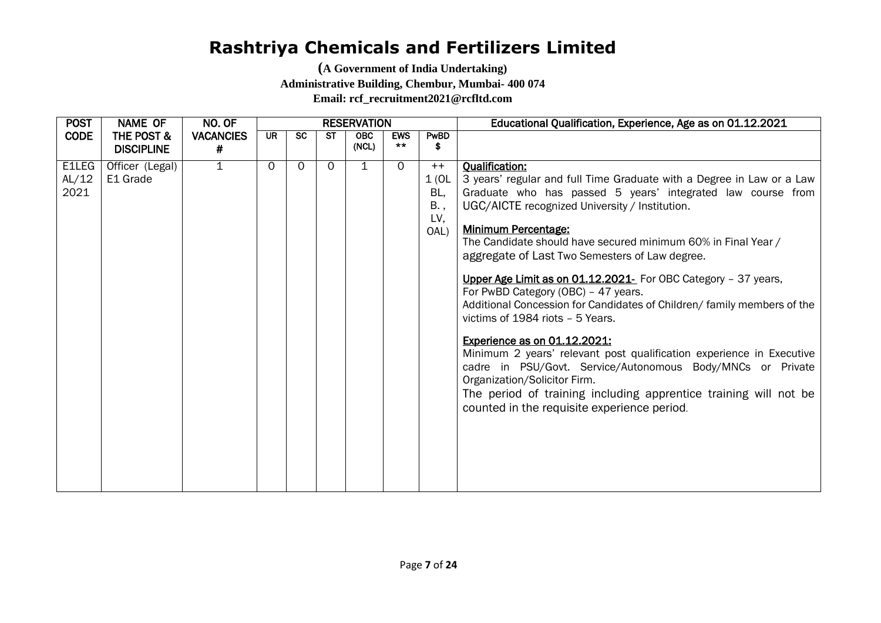| <b>POST</b>                    | <b>NAME OF</b>                             | NO. OF                | <b>RESERVATION</b> |           |              |                     |                     | Educational Qualification, Experience, Age as on 01.12.2021 |                                                                                                                                                                                                                                                                                                                                                                                                                                                                                                                                                                                                                                                                                                                                                                                                                                                                                                                   |
|--------------------------------|--------------------------------------------|-----------------------|--------------------|-----------|--------------|---------------------|---------------------|-------------------------------------------------------------|-------------------------------------------------------------------------------------------------------------------------------------------------------------------------------------------------------------------------------------------------------------------------------------------------------------------------------------------------------------------------------------------------------------------------------------------------------------------------------------------------------------------------------------------------------------------------------------------------------------------------------------------------------------------------------------------------------------------------------------------------------------------------------------------------------------------------------------------------------------------------------------------------------------------|
| <b>CODE</b>                    | <b>THE POST &amp;</b><br><b>DISCIPLINE</b> | <b>VACANCIES</b><br># | <b>UR</b>          | <b>SC</b> | ST           | <b>OBC</b><br>(NCL) | <b>EWS</b><br>$***$ | PwBD<br>\$                                                  |                                                                                                                                                                                                                                                                                                                                                                                                                                                                                                                                                                                                                                                                                                                                                                                                                                                                                                                   |
| <b>E</b> ILEG<br>AL/12<br>2021 | Officer (Legal)<br>E1 Grade                | $\overline{1}$        | $\Omega$           | $\Omega$  | $\mathsf{O}$ | 1                   | $\Omega$            | $++$<br>1(OL<br>BL,<br>B.,<br>LV,<br>OAL)                   | <b>Qualification:</b><br>3 years' regular and full Time Graduate with a Degree in Law or a Law<br>Graduate who has passed 5 years' integrated law course from<br>UGC/AICTE recognized University / Institution.<br><b>Minimum Percentage:</b><br>The Candidate should have secured minimum 60% in Final Year /<br>aggregate of Last Two Semesters of Law degree.<br>Upper Age Limit as on 01.12.2021- For OBC Category - 37 years,<br>For PwBD Category (OBC) - 47 years.<br>Additional Concession for Candidates of Children/ family members of the<br>victims of 1984 riots - 5 Years.<br>Experience as on 01.12.2021:<br>Minimum 2 years' relevant post qualification experience in Executive<br>cadre in PSU/Govt. Service/Autonomous Body/MNCs or Private<br>Organization/Solicitor Firm.<br>The period of training including apprentice training will not be<br>counted in the requisite experience period. |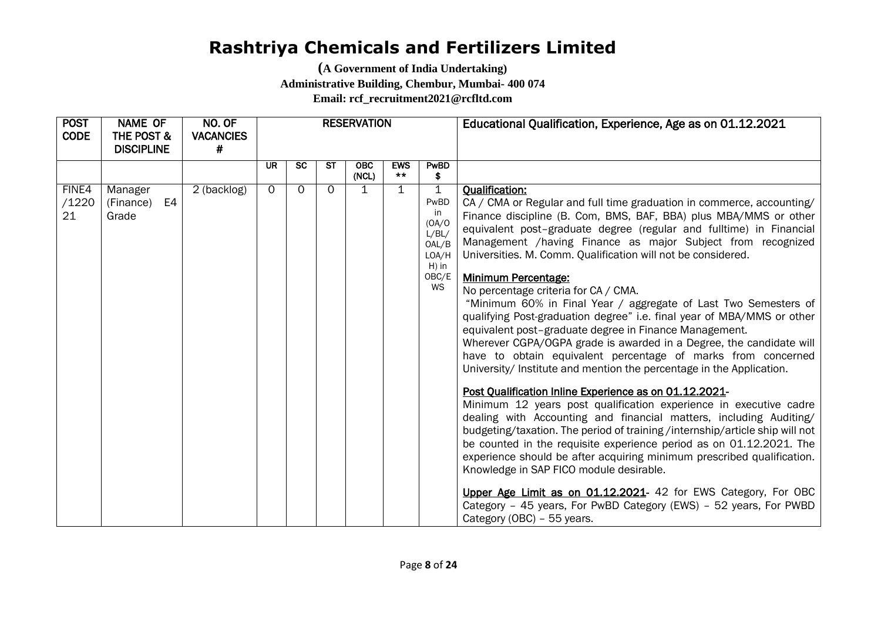| <b>POST</b><br><b>CODE</b> | <b>NAME OF</b><br>THE POST &<br><b>DISCIPLINE</b> | NO. OF<br><b>VACANCIES</b><br># | <b>RESERVATION</b> |           |           |              |                     |                                                                                          | Educational Qualification, Experience, Age as on 01.12.2021                                                                                                                                                                                                                                                                                                                                                                                                                                                                                                                                                                                                                                                                                                                                                                                                                                                                                                                                                                                                                                                                                                                                                                                                                                                                                                                                                                                                                                                                |
|----------------------------|---------------------------------------------------|---------------------------------|--------------------|-----------|-----------|--------------|---------------------|------------------------------------------------------------------------------------------|----------------------------------------------------------------------------------------------------------------------------------------------------------------------------------------------------------------------------------------------------------------------------------------------------------------------------------------------------------------------------------------------------------------------------------------------------------------------------------------------------------------------------------------------------------------------------------------------------------------------------------------------------------------------------------------------------------------------------------------------------------------------------------------------------------------------------------------------------------------------------------------------------------------------------------------------------------------------------------------------------------------------------------------------------------------------------------------------------------------------------------------------------------------------------------------------------------------------------------------------------------------------------------------------------------------------------------------------------------------------------------------------------------------------------------------------------------------------------------------------------------------------------|
|                            |                                                   |                                 | <b>UR</b>          | <b>SC</b> | <b>ST</b> | OBC<br>(NCL) | <b>EWS</b><br>$***$ | PwBD<br>\$                                                                               |                                                                                                                                                                                                                                                                                                                                                                                                                                                                                                                                                                                                                                                                                                                                                                                                                                                                                                                                                                                                                                                                                                                                                                                                                                                                                                                                                                                                                                                                                                                            |
| FINE4<br>/1220<br>21       | Manager<br>E4<br>(Finance)<br>Grade               | 2 (backlog)                     | $\Omega$           | $\Omega$  | $\Omega$  | $\mathbf{1}$ | $\mathbf 1$         | $\mathbf 1$<br>PwBD<br>in<br>(OA/O)<br>L/BL/<br>OAL/B<br>LOA/H<br>$H)$ in<br>OBC/E<br>WS | <b>Qualification:</b><br>CA / CMA or Regular and full time graduation in commerce, accounting/<br>Finance discipline (B. Com, BMS, BAF, BBA) plus MBA/MMS or other<br>equivalent post-graduate degree (regular and fulltime) in Financial<br>Management /having Finance as major Subject from recognized<br>Universities. M. Comm. Qualification will not be considered.<br><b>Minimum Percentage:</b><br>No percentage criteria for CA / CMA.<br>"Minimum 60% in Final Year / aggregate of Last Two Semesters of<br>qualifying Post-graduation degree" i.e. final year of MBA/MMS or other<br>equivalent post-graduate degree in Finance Management.<br>Wherever CGPA/OGPA grade is awarded in a Degree, the candidate will<br>have to obtain equivalent percentage of marks from concerned<br>University/ Institute and mention the percentage in the Application.<br>Post Qualification Inline Experience as on 01.12.2021-<br>Minimum 12 years post qualification experience in executive cadre<br>dealing with Accounting and financial matters, including Auditing/<br>budgeting/taxation. The period of training /internship/article ship will not<br>be counted in the requisite experience period as on 01.12.2021. The<br>experience should be after acquiring minimum prescribed qualification.<br>Knowledge in SAP FICO module desirable.<br>Upper Age Limit as on 01.12.2021- 42 for EWS Category, For OBC<br>Category - 45 years, For PwBD Category (EWS) - 52 years, For PWBD<br>Category (OBC) - 55 years. |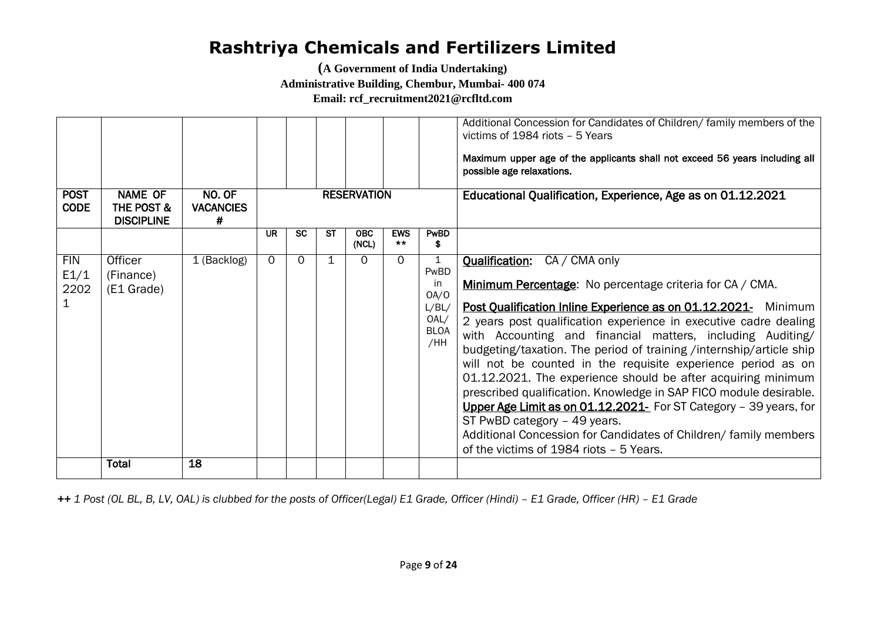**(A Government of India Undertaking)** 

**Administrative Building, Chembur, Mumbai- 400 074**

**Email: rcf\_recruitment2021@rcfltd.com**

| <b>POST</b><br><b>CODE</b> | <b>NAME OF</b><br>THE POST &<br><b>DISCIPLINE</b> | NO. OF<br><b>VACANCIES</b><br># |          |           |           | <b>RESERVATION</b>  |                     |                                                                | Additional Concession for Candidates of Children/ family members of the<br>victims of 1984 riots - 5 Years<br>Maximum upper age of the applicants shall not exceed 56 years including all<br>possible age relaxations.<br>Educational Qualification, Experience, Age as on 01.12.2021                                                                                                                                                                                                                                                                                                                                                                                                                                                                                                                  |
|----------------------------|---------------------------------------------------|---------------------------------|----------|-----------|-----------|---------------------|---------------------|----------------------------------------------------------------|--------------------------------------------------------------------------------------------------------------------------------------------------------------------------------------------------------------------------------------------------------------------------------------------------------------------------------------------------------------------------------------------------------------------------------------------------------------------------------------------------------------------------------------------------------------------------------------------------------------------------------------------------------------------------------------------------------------------------------------------------------------------------------------------------------|
|                            |                                                   |                                 | UR       | <b>SC</b> | <b>ST</b> | <b>OBC</b><br>(NCL) | <b>EWS</b><br>$***$ | PwBD<br>\$                                                     |                                                                                                                                                                                                                                                                                                                                                                                                                                                                                                                                                                                                                                                                                                                                                                                                        |
| <b>FIN</b><br>E1/1<br>2202 | Officer<br>(Finance)<br>(E1 Grade)                | 1 (Backlog)                     | $\Omega$ | $\Omega$  |           | $\Omega$            | $\Omega$            | 1<br>PwBD<br>in<br>OA/O<br>L/BL/<br>OAL/<br><b>BLOA</b><br>/HH | CA / CMA only<br><b>Qualification:</b><br>Minimum Percentage: No percentage criteria for CA / CMA.<br>Post Qualification Inline Experience as on 01.12.2021- Minimum<br>2 years post qualification experience in executive cadre dealing<br>with Accounting and financial matters, including Auditing/<br>budgeting/taxation. The period of training /internship/article ship<br>will not be counted in the requisite experience period as on<br>01.12.2021. The experience should be after acquiring minimum<br>prescribed qualification. Knowledge in SAP FICO module desirable.<br>Upper Age Limit as on 01.12.2021- For ST Category - 39 years, for<br>ST PwBD category - 49 years.<br>Additional Concession for Candidates of Children/ family members<br>of the victims of 1984 riots - 5 Years. |
|                            | <b>Total</b>                                      | 18                              |          |           |           |                     |                     |                                                                |                                                                                                                                                                                                                                                                                                                                                                                                                                                                                                                                                                                                                                                                                                                                                                                                        |

*++ 1 Post (OL BL, B, LV, OAL) is clubbed for the posts of Officer(Legal) E1 Grade, Officer (Hindi) – E1 Grade, Officer (HR) – E1 Grade*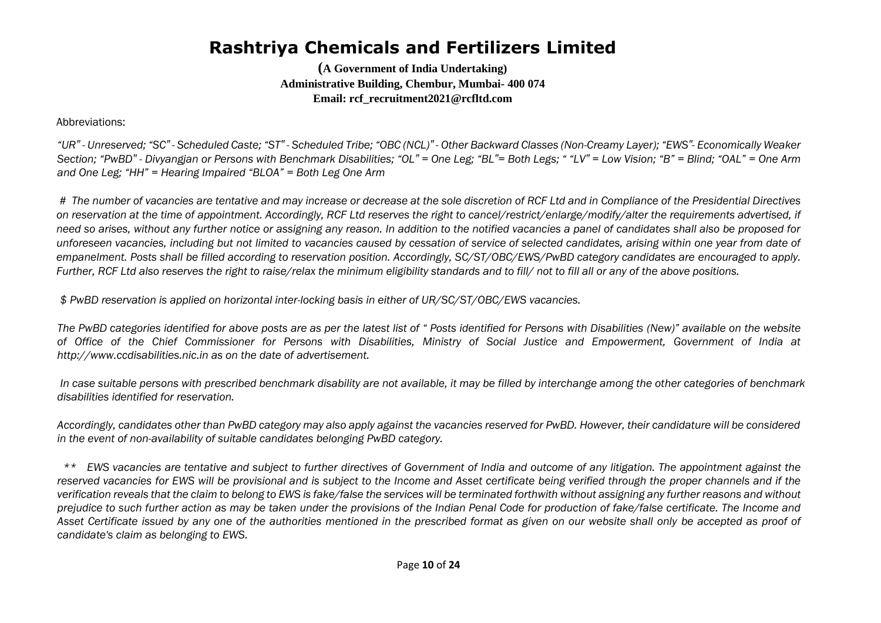**(A Government of India Undertaking) Administrative Building, Chembur, Mumbai- 400 074 Email: rcf\_recruitment2021@rcfltd.com**

Abbreviations:

"UR" - Unreserved; "SC" - Scheduled Caste; "ST" - Scheduled Tribe; "OBC (NCL)" - Other Backward Classes (Non-Creamy Layer); "EWS"- Economically Weaker Section: "PwBD" - Divvangian or Persons with Benchmark Disabilities: "OL" = One Leg: "BL" = Both Legs: ""LV" = Low Vision: "B" = Blind: "OAL" = One Arm *and One Leg; "HH" = Hearing Impaired "BLOA" = Both Leg One Arm*

*# The number of vacancies are tentative and may increase or decrease at the sole discretion of RCF Ltd and in Compliance of the Presidential Directives on reservation at the time of appointment. Accordingly, RCF Ltd reserves the right to cancel/restrict/enlarge/modify/alter the requirements advertised, if need so arises, without any further notice or assigning any reason. In addition to the notified vacancies a panel of candidates shall also be proposed for unforeseen vacancies, including but not limited to vacancies caused by cessation of service of selected candidates, arising within one year from date of empanelment. Posts shall be filled according to reservation position. Accordingly, SC/ST/OBC/EWS/PwBD category candidates are encouraged to apply. Further, RCF Ltd also reserves the right to raise/relax the minimum eligibility standards and to fill/ not to fill all or any of the above positions.* 

*\$ PwBD reservation is applied on horizontal inter-locking basis in either of UR/SC/ST/OBC/EWS vacancies.* 

*The PwBD categories identified for above posts are as per the latest list of " Posts identified for Persons with Disabilities (New)" available on the website of Office of the Chief Commissioner for Persons with Disabilities, Ministry of Social Justice and Empowerment, Government of India at http://www.ccdisabilities.nic.in as on the date of advertisement.*

*In case suitable persons with prescribed benchmark disability are not available, it may be filled by interchange among the other categories of benchmark disabilities identified for reservation.* 

*Accordingly, candidates other than PwBD category may also apply against the vacancies reserved for PwBD. However, their candidature will be considered in the event of non-availability of suitable candidates belonging PwBD category.* 

*\*\* EWS vacancies are tentative and subject to further directives of Government of India and outcome of any litigation. The appointment against the* reserved vacancies for EWS will be provisional and is subject to the Income and Asset certificate being verified through the proper channels and if the *verification reveals that the claim to belong to EWS is fake/false the services will be terminated forthwith without assigning any further reasons and without prejudice to such further action as may be taken under the provisions of the Indian Penal Code for production of fake/false certificate. The Income and Asset Certificate issued by any one of the authorities mentioned in the prescribed format as given on our website shall only be accepted as proof of candidate's claim as belonging to EWS.*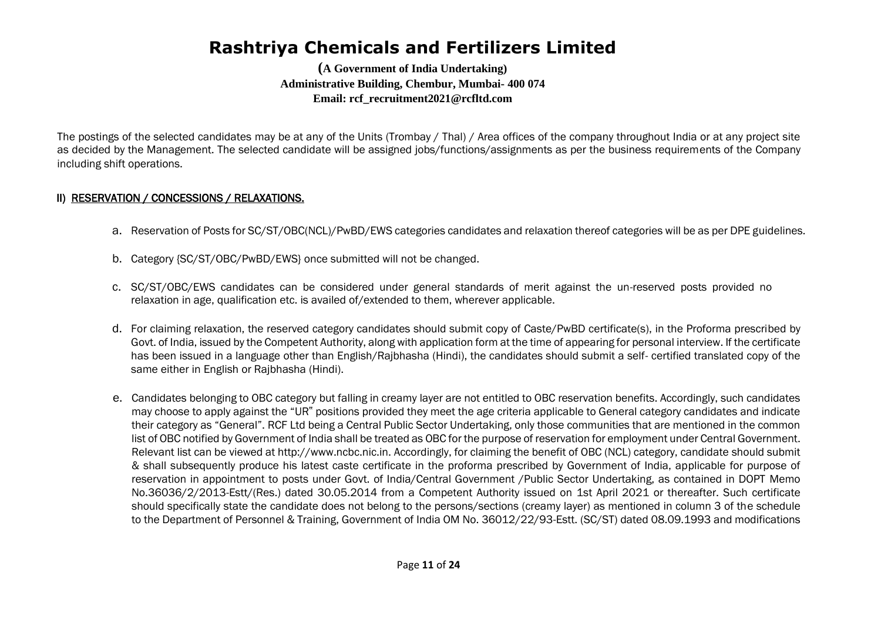**(A Government of India Undertaking) Administrative Building, Chembur, Mumbai- 400 074 Email: rcf\_recruitment2021@rcfltd.com**

The postings of the selected candidates may be at any of the Units (Trombay / Thal) / Area offices of the company throughout India or at any project site as decided by the Management. The selected candidate will be assigned jobs/functions/assignments as per the business requirements of the Company including shift operations.

### II) RESERVATION / CONCESSIONS / RELAXATIONS.

- a. Reservation of Posts for SC/ST/OBC(NCL)/PwBD/EWS categories candidates and relaxation thereof categories will be as per DPE guidelines.
- b. Category {SC/ST/OBC/PwBD/EWS} once submitted will not be changed.
- c. SC/ST/OBC/EWS candidates can be considered under general standards of merit against the un-reserved posts provided no relaxation in age, qualification etc. is availed of/extended to them, wherever applicable.
- d. For claiming relaxation, the reserved category candidates should submit copy of Caste/PwBD certificate(s), in the Proforma prescribed by Govt. of India, issued by the Competent Authority, along with application form at the time of appearing for personal interview. If the certificate has been issued in a language other than English/Rajbhasha (Hindi), the candidates should submit a self- certified translated copy of the same either in English or Rajbhasha (Hindi).
- e. Candidates belonging to OBC category but falling in creamy layer are not entitled to OBC reservation benefits. Accordingly, such candidates may choose to apply against the "UR" positions provided they meet the age criteria applicable to General category candidates and indicate their category as "General". RCF Ltd being a Central Public Sector Undertaking, only those communities that are mentioned in the common list of OBC notified by Government of India shall be treated as OBC for the purpose of reservation for employment under Central Government. Relevant list can be viewed at http://www.ncbc.nic.in. Accordingly, for claiming the benefit of OBC (NCL) category, candidate should submit & shall subsequently produce his latest caste certificate in the proforma prescribed by Government of India, applicable for purpose of reservation in appointment to posts under Govt. of India/Central Government /Public Sector Undertaking, as contained in DOPT Memo No.36036/2/2013-Estt/(Res.) dated 30.05.2014 from a Competent Authority issued on 1st April 2021 or thereafter. Such certificate should specifically state the candidate does not belong to the persons/sections (creamy layer) as mentioned in column 3 of the schedule to the Department of Personnel & Training, Government of India OM No. 36012/22/93-Estt. (SC/ST) dated 08.09.1993 and modifications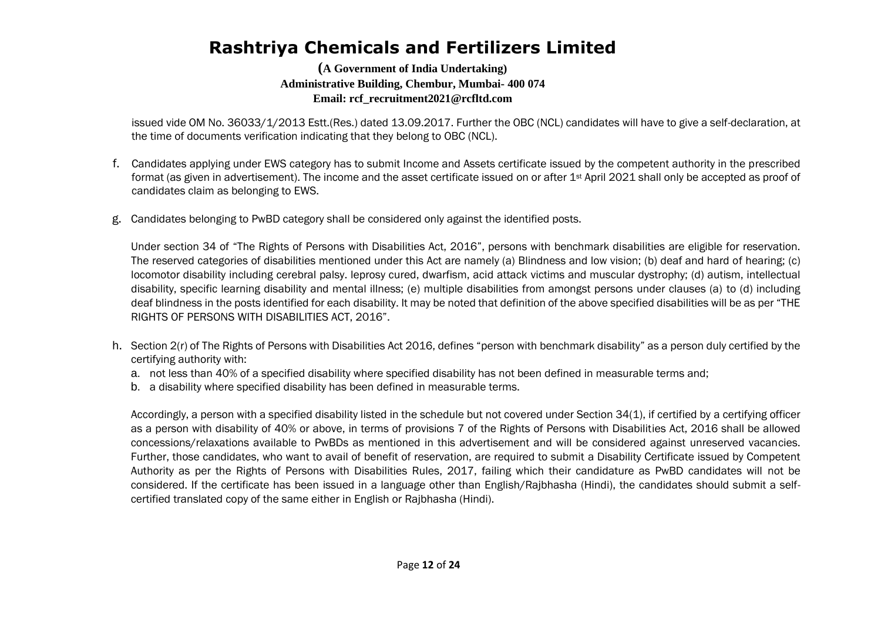**(A Government of India Undertaking) Administrative Building, Chembur, Mumbai- 400 074 Email: rcf\_recruitment2021@rcfltd.com**

issued vide OM No. 36033/1/2013 Estt.(Res.) dated 13.09.2017. Further the OBC (NCL) candidates will have to give a self-declaration, at the time of documents verification indicating that they belong to OBC (NCL).

- f. Candidates applying under EWS category has to submit Income and Assets certificate issued by the competent authority in the prescribed format (as given in advertisement). The income and the asset certificate issued on or after 1st April 2021 shall only be accepted as proof of candidates claim as belonging to EWS.
- g. Candidates belonging to PwBD category shall be considered only against the identified posts.

Under section 34 of "The Rights of Persons with Disabilities Act, 2016", persons with benchmark disabilities are eligible for reservation. The reserved categories of disabilities mentioned under this Act are namely (a) Blindness and low vision; (b) deaf and hard of hearing; (c) locomotor disability including cerebral palsy. leprosy cured, dwarfism, acid attack victims and muscular dystrophy; (d) autism, intellectual disability, specific learning disability and mental illness; (e) multiple disabilities from amongst persons under clauses (a) to (d) including deaf blindness in the posts identified for each disability. It may be noted that definition of the above specified disabilities will be as per "THE RIGHTS OF PERSONS WITH DISABILITIES ACT, 2016".

- h. Section 2(r) of The Rights of Persons with Disabilities Act 2016, defines "person with benchmark disability" as a person duly certified by the certifying authority with:
	- a. not less than 40% of a specified disability where specified disability has not been defined in measurable terms and;
	- b. a disability where specified disability has been defined in measurable terms.

Accordingly, a person with a specified disability listed in the schedule but not covered under Section 34(1), if certified by a certifying officer as a person with disability of 40% or above, in terms of provisions 7 of the Rights of Persons with Disabilities Act, 2016 shall be allowed concessions/relaxations available to PwBDs as mentioned in this advertisement and will be considered against unreserved vacancies. Further, those candidates, who want to avail of benefit of reservation, are required to submit a Disability Certificate issued by Competent Authority as per the Rights of Persons with Disabilities Rules, 2017, failing which their candidature as PwBD candidates will not be considered. If the certificate has been issued in a language other than English/Rajbhasha (Hindi), the candidates should submit a selfcertified translated copy of the same either in English or Rajbhasha (Hindi).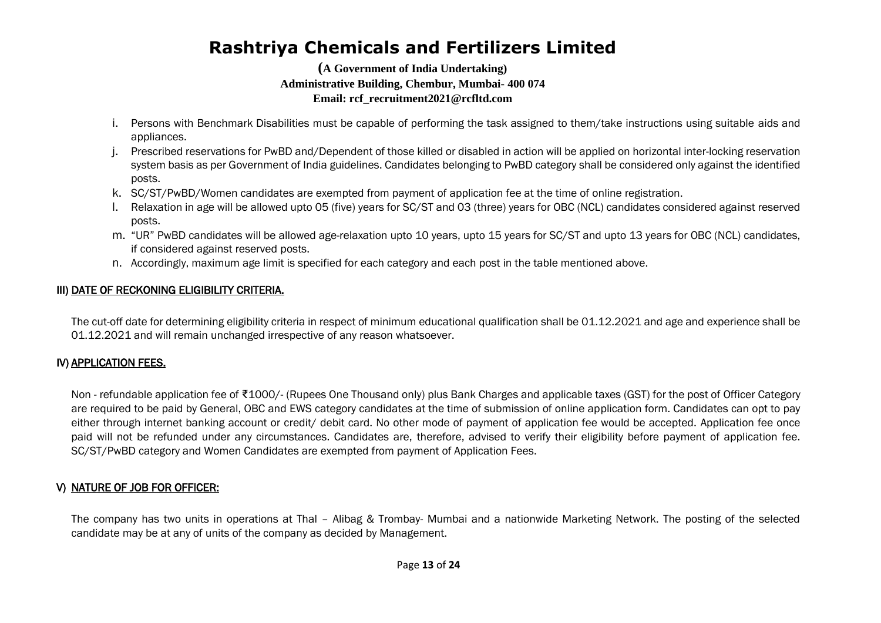**(A Government of India Undertaking) Administrative Building, Chembur, Mumbai- 400 074 Email: rcf\_recruitment2021@rcfltd.com**

- i. Persons with Benchmark Disabilities must be capable of performing the task assigned to them/take instructions using suitable aids and appliances.
- j. Prescribed reservations for PwBD and/Dependent of those killed or disabled in action will be applied on horizontal inter-locking reservation system basis as per Government of India guidelines. Candidates belonging to PwBD category shall be considered only against the identified posts.
- k. SC/ST/PwBD/Women candidates are exempted from payment of application fee at the time of online registration.
- l. Relaxation in age will be allowed upto 05 (five) years for SC/ST and 03 (three) years for OBC (NCL) candidates considered against reserved posts.
- m. "UR" PwBD candidates will be allowed age-relaxation upto 10 years, upto 15 years for SC/ST and upto 13 years for OBC (NCL) candidates, if considered against reserved posts.
- n. Accordingly, maximum age limit is specified for each category and each post in the table mentioned above.

### III) DATE OF RECKONING ELIGIBILITY CRITERIA.

The cut-off date for determining eligibility criteria in respect of minimum educational qualification shall be 01.12.2021 and age and experience shall be 01.12.2021 and will remain unchanged irrespective of any reason whatsoever.

### IV) APPLICATION FEES.

Non - refundable application fee of ₹1000/- (Rupees One Thousand only) plus Bank Charges and applicable taxes (GST) for the post of Officer Category are required to be paid by General, OBC and EWS category candidates at the time of submission of online application form. Candidates can opt to pay either through internet banking account or credit/ debit card. No other mode of payment of application fee would be accepted. Application fee once paid will not be refunded under any circumstances. Candidates are, therefore, advised to verify their eligibility before payment of application fee. SC/ST/PwBD category and Women Candidates are exempted from payment of Application Fees.

### V) NATURE OF JOB FOR OFFICER:

The company has two units in operations at Thal – Alibag & Trombay- Mumbai and a nationwide Marketing Network. The posting of the selected candidate may be at any of units of the company as decided by Management.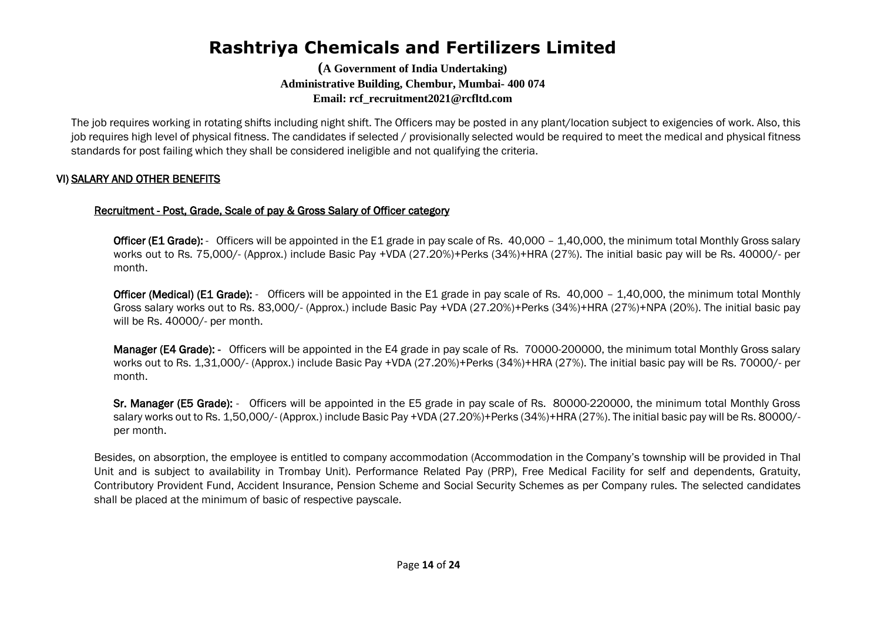**(A Government of India Undertaking) Administrative Building, Chembur, Mumbai- 400 074 Email: rcf\_recruitment2021@rcfltd.com**

The job requires working in rotating shifts including night shift. The Officers may be posted in any plant/location subject to exigencies of work. Also, this job requires high level of physical fitness. The candidates if selected / provisionally selected would be required to meet the medical and physical fitness standards for post failing which they shall be considered ineligible and not qualifying the criteria.

### VI) SALARY AND OTHER BENEFITS

### Recruitment - Post, Grade, Scale of pay & Gross Salary of Officer category

Officer (E1 Grade): - Officers will be appointed in the E1 grade in pay scale of Rs. 40,000 - 1,40,000, the minimum total Monthly Gross salary works out to Rs. 75,000/- (Approx.) include Basic Pay +VDA (27.20%)+Perks (34%)+HRA (27%). The initial basic pay will be Rs. 40000/- per month.

Officer (Medical) (E1 Grade): - Officers will be appointed in the E1 grade in pay scale of Rs. 40,000 - 1,40,000, the minimum total Monthly Gross salary works out to Rs. 83,000/- (Approx.) include Basic Pay +VDA (27.20%)+Perks (34%)+HRA (27%)+NPA (20%). The initial basic pay will be Rs. 40000/- per month.

Manager (E4 Grade): - Officers will be appointed in the E4 grade in pay scale of Rs. 70000-200000, the minimum total Monthly Gross salary works out to Rs. 1,31,000/- (Approx.) include Basic Pay +VDA (27.20%)+Perks (34%)+HRA (27%). The initial basic pay will be Rs. 70000/- per month.

Sr. Manager (E5 Grade): - Officers will be appointed in the E5 grade in pay scale of Rs. 80000-220000, the minimum total Monthly Gross salary works out to Rs. 1,50,000/- (Approx.) include Basic Pay +VDA (27.20%)+Perks (34%)+HRA (27%). The initial basic pay will be Rs. 80000/ per month.

Besides, on absorption, the employee is entitled to company accommodation (Accommodation in the Company's township will be provided in Thal Unit and is subject to availability in Trombay Unit). Performance Related Pay (PRP), Free Medical Facility for self and dependents, Gratuity, Contributory Provident Fund, Accident Insurance, Pension Scheme and Social Security Schemes as per Company rules. The selected candidates shall be placed at the minimum of basic of respective payscale.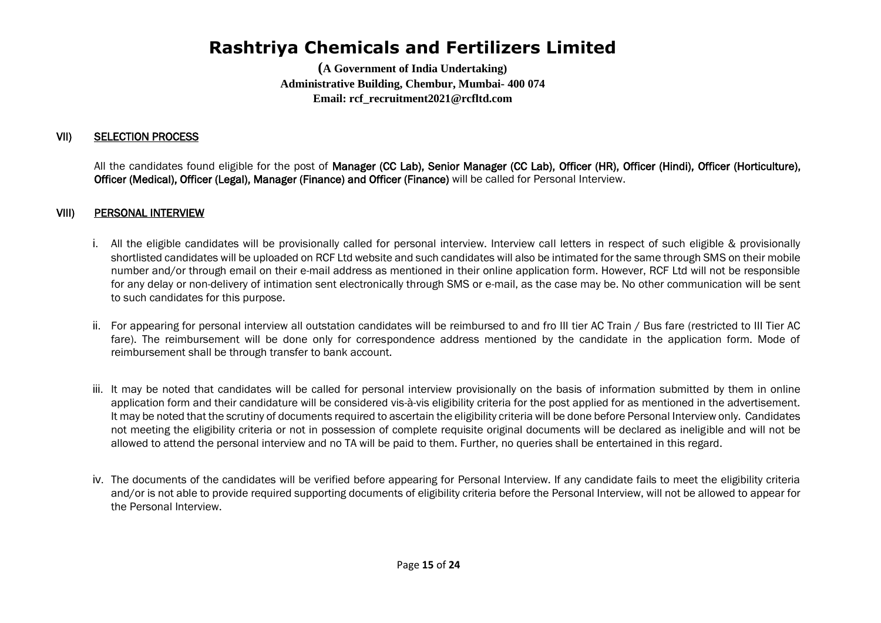**(A Government of India Undertaking) Administrative Building, Chembur, Mumbai- 400 074 Email: rcf\_recruitment2021@rcfltd.com**

### VII) SELECTION PROCESS

All the candidates found eligible for the post of Manager (CC Lab), Senior Manager (CC Lab), Officer (HR), Officer (Hindi), Officer (Horticulture), Officer (Medical), Officer (Legal), Manager (Finance) and Officer (Finance) will be called for Personal Interview.

#### VIII) PERSONAL INTERVIEW

- i. All the eligible candidates will be provisionally called for personal interview. Interview call letters in respect of such eligible & provisionally shortlisted candidates will be uploaded on RCF Ltd website and such candidates will also be intimated for the same through SMS on their mobile number and/or through email on their e-mail address as mentioned in their online application form. However, RCF Ltd will not be responsible for any delay or non-delivery of intimation sent electronically through SMS or e-mail, as the case may be. No other communication will be sent to such candidates for this purpose.
- ii. For appearing for personal interview all outstation candidates will be reimbursed to and fro III tier AC Train / Bus fare (restricted to III Tier AC fare). The reimbursement will be done only for correspondence address mentioned by the candidate in the application form. Mode of reimbursement shall be through transfer to bank account.
- iii. It may be noted that candidates will be called for personal interview provisionally on the basis of information submitted by them in online application form and their candidature will be considered vis-à-vis eligibility criteria for the post applied for as mentioned in the advertisement. It may be noted that the scrutiny of documents required to ascertain the eligibility criteria will be done before Personal Interview only. Candidates not meeting the eligibility criteria or not in possession of complete requisite original documents will be declared as ineligible and will not be allowed to attend the personal interview and no TA will be paid to them. Further, no queries shall be entertained in this regard.
- iv. The documents of the candidates will be verified before appearing for Personal Interview. If any candidate fails to meet the eligibility criteria and/or is not able to provide required supporting documents of eligibility criteria before the Personal Interview, will not be allowed to appear for the Personal Interview.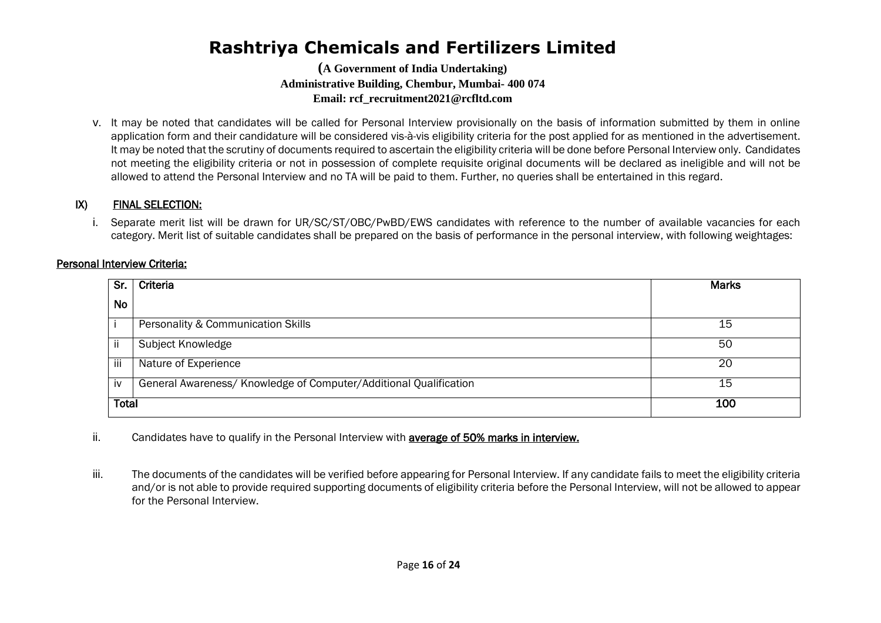**(A Government of India Undertaking) Administrative Building, Chembur, Mumbai- 400 074 Email: rcf\_recruitment2021@rcfltd.com**

v. It may be noted that candidates will be called for Personal Interview provisionally on the basis of information submitted by them in online application form and their candidature will be considered vis-à-vis eligibility criteria for the post applied for as mentioned in the advertisement. It may be noted that the scrutiny of documents required to ascertain the eligibility criteria will be done before Personal Interview only. Candidates not meeting the eligibility criteria or not in possession of complete requisite original documents will be declared as ineligible and will not be allowed to attend the Personal Interview and no TA will be paid to them. Further, no queries shall be entertained in this regard.

### IX) FINAL SELECTION:

i. Separate merit list will be drawn for UR/SC/ST/OBC/PwBD/EWS candidates with reference to the number of available vacancies for each category. Merit list of suitable candidates shall be prepared on the basis of performance in the personal interview, with following weightages:

#### Personal Interview Criteria:

| Sr.          | Criteria                                                          | <b>Marks</b> |
|--------------|-------------------------------------------------------------------|--------------|
| <b>No</b>    |                                                                   |              |
|              | Personality & Communication Skills                                | 15           |
| ii           | Subject Knowledge                                                 | 50           |
| iii          | Nature of Experience                                              | 20           |
| iv           | General Awareness/ Knowledge of Computer/Additional Qualification | 15           |
| <b>Total</b> |                                                                   | 100          |

ii. Candidates have to qualify in the Personal Interview with **average of 50% marks in interview.** 

iii. The documents of the candidates will be verified before appearing for Personal Interview. If any candidate fails to meet the eligibility criteria and/or is not able to provide required supporting documents of eligibility criteria before the Personal Interview, will not be allowed to appear for the Personal Interview.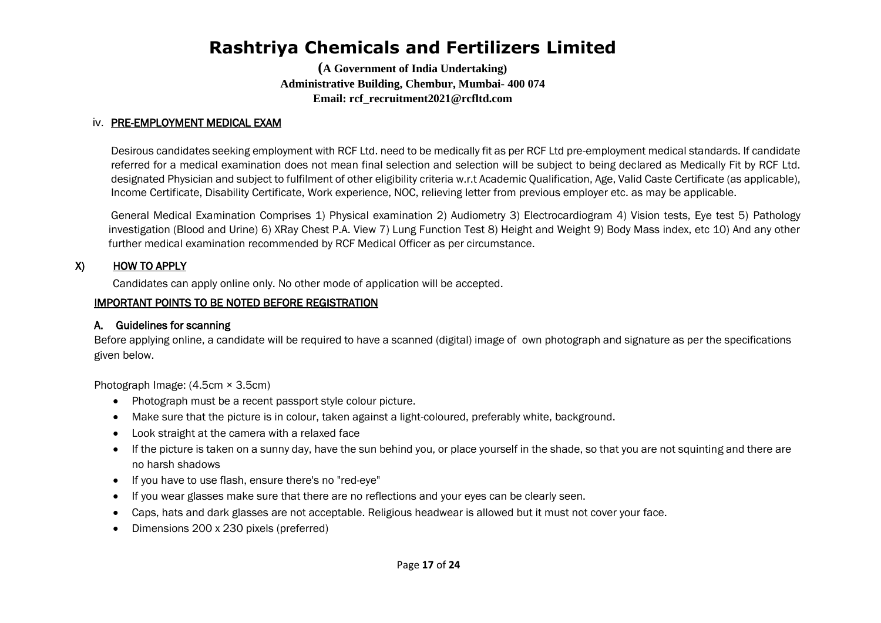**(A Government of India Undertaking) Administrative Building, Chembur, Mumbai- 400 074 Email: rcf\_recruitment2021@rcfltd.com**

#### iv. PRE-EMPLOYMENT MEDICAL EXAM

Desirous candidates seeking employment with RCF Ltd. need to be medically fit as per RCF Ltd pre-employment medical standards. If candidate referred for a medical examination does not mean final selection and selection will be subject to being declared as Medically Fit by RCF Ltd. designated Physician and subject to fulfilment of other eligibility criteria w.r.t Academic Qualification, Age, Valid Caste Certificate (as applicable), Income Certificate, Disability Certificate, Work experience, NOC, relieving letter from previous employer etc. as may be applicable.

General Medical Examination Comprises 1) Physical examination 2) Audiometry 3) Electrocardiogram 4) Vision tests, Eye test 5) Pathology investigation (Blood and Urine) 6) XRay Chest P.A. View 7) Lung Function Test 8) Height and Weight 9) Body Mass index, etc 10) And any other further medical examination recommended by RCF Medical Officer as per circumstance.

#### X) HOW TO APPLY

Candidates can apply online only. No other mode of application will be accepted.

#### IMPORTANT POINTS TO BE NOTED BEFORE REGISTRATION

#### A. Guidelines for scanning

Before applying online, a candidate will be required to have a scanned (digital) image of own photograph and signature as per the specifications given below.

Photograph Image: (4.5cm × 3.5cm)

- Photograph must be a recent passport style colour picture.
- Make sure that the picture is in colour, taken against a light-coloured, preferably white, background.
- Look straight at the camera with a relaxed face
- If the picture is taken on a sunny day, have the sun behind you, or place yourself in the shade, so that you are not squinting and there are no harsh shadows
- If you have to use flash, ensure there's no "red-eye"
- If you wear glasses make sure that there are no reflections and your eyes can be clearly seen.
- Caps, hats and dark glasses are not acceptable. Religious headwear is allowed but it must not cover your face.
- Dimensions 200 x 230 pixels (preferred)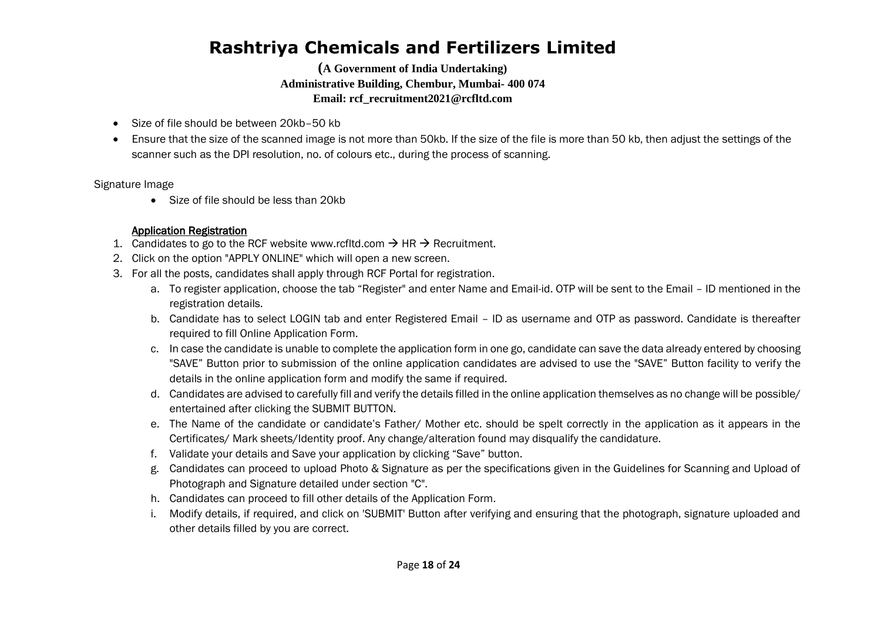**(A Government of India Undertaking) Administrative Building, Chembur, Mumbai- 400 074 Email: rcf\_recruitment2021@rcfltd.com**

- Size of file should be between 20kb–50 kb
- Ensure that the size of the scanned image is not more than 50kb. If the size of the file is more than 50 kb, then adjust the settings of the scanner such as the DPI resolution, no. of colours etc., during the process of scanning.

Signature Image

• Size of file should be less than 20kb

### Application Registration

- 1. Candidates to go to the RCF website www.rcfltd.com  $\rightarrow$  HR  $\rightarrow$  Recruitment.
- 2. Click on the option "APPLY ONLINE" which will open a new screen.
- 3. For all the posts, candidates shall apply through RCF Portal for registration.
	- a. To register application, choose the tab "Register" and enter Name and Email-id. OTP will be sent to the Email ID mentioned in the registration details.
	- b. Candidate has to select LOGIN tab and enter Registered Email ID as username and OTP as password. Candidate is thereafter required to fill Online Application Form.
	- c. In case the candidate is unable to complete the application form in one go, candidate can save the data already entered by choosing "SAVE" Button prior to submission of the online application candidates are advised to use the "SAVE" Button facility to verify the details in the online application form and modify the same if required.
	- d. Candidates are advised to carefully fill and verify the details filled in the online application themselves as no change will be possible/ entertained after clicking the SUBMIT BUTTON.
	- e. The Name of the candidate or candidate's Father/ Mother etc. should be spelt correctly in the application as it appears in the Certificates/ Mark sheets/Identity proof. Any change/alteration found may disqualify the candidature.
	- f. Validate your details and Save your application by clicking "Save" button.
	- g. Candidates can proceed to upload Photo & Signature as per the specifications given in the Guidelines for Scanning and Upload of Photograph and Signature detailed under section "C".
	- h. Candidates can proceed to fill other details of the Application Form.
	- i. Modify details, if required, and click on 'SUBMIT' Button after verifying and ensuring that the photograph, signature uploaded and other details filled by you are correct.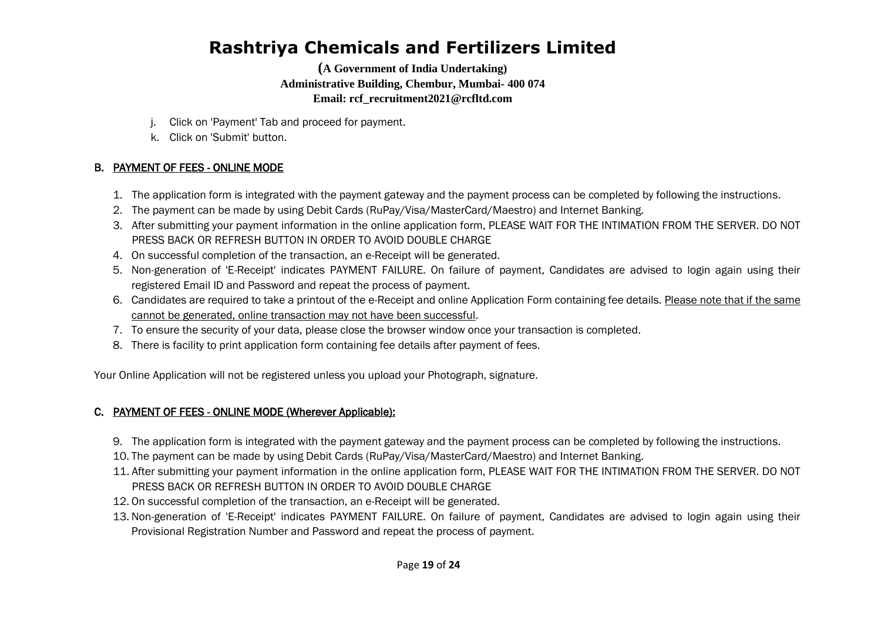**(A Government of India Undertaking) Administrative Building, Chembur, Mumbai- 400 074 Email: rcf\_recruitment2021@rcfltd.com**

- j. Click on 'Payment' Tab and proceed for payment.
- k. Click on 'Submit' button.

### B. PAYMENT OF FEES - ONLINE MODE

- 1. The application form is integrated with the payment gateway and the payment process can be completed by following the instructions.
- 2. The payment can be made by using Debit Cards (RuPay/Visa/MasterCard/Maestro) and Internet Banking.
- 3. After submitting your payment information in the online application form, PLEASE WAIT FOR THE INTIMATION FROM THE SERVER. DO NOT PRESS BACK OR REFRESH BUTTON IN ORDER TO AVOID DOUBLE CHARGE
- 4. On successful completion of the transaction, an e-Receipt will be generated.
- 5. Non-generation of 'E-Receipt' indicates PAYMENT FAILURE. On failure of payment, Candidates are advised to login again using their registered Email ID and Password and repeat the process of payment.
- 6. Candidates are required to take a printout of the e-Receipt and online Application Form containing fee details. Please note that if the same cannot be generated, online transaction may not have been successful.
- 7. To ensure the security of your data, please close the browser window once your transaction is completed.
- 8. There is facility to print application form containing fee details after payment of fees.

Your Online Application will not be registered unless you upload your Photograph, signature.

### C. PAYMENT OF FEES - ONLINE MODE (Wherever Applicable):

- 9. The application form is integrated with the payment gateway and the payment process can be completed by following the instructions.
- 10. The payment can be made by using Debit Cards (RuPay/Visa/MasterCard/Maestro) and Internet Banking.
- 11. After submitting your payment information in the online application form, PLEASE WAIT FOR THE INTIMATION FROM THE SERVER. DO NOT PRESS BACK OR REFRESH BUTTON IN ORDER TO AVOID DOUBLE CHARGE
- 12. On successful completion of the transaction, an e-Receipt will be generated.
- 13. Non-generation of 'E-Receipt' indicates PAYMENT FAILURE. On failure of payment, Candidates are advised to login again using their Provisional Registration Number and Password and repeat the process of payment.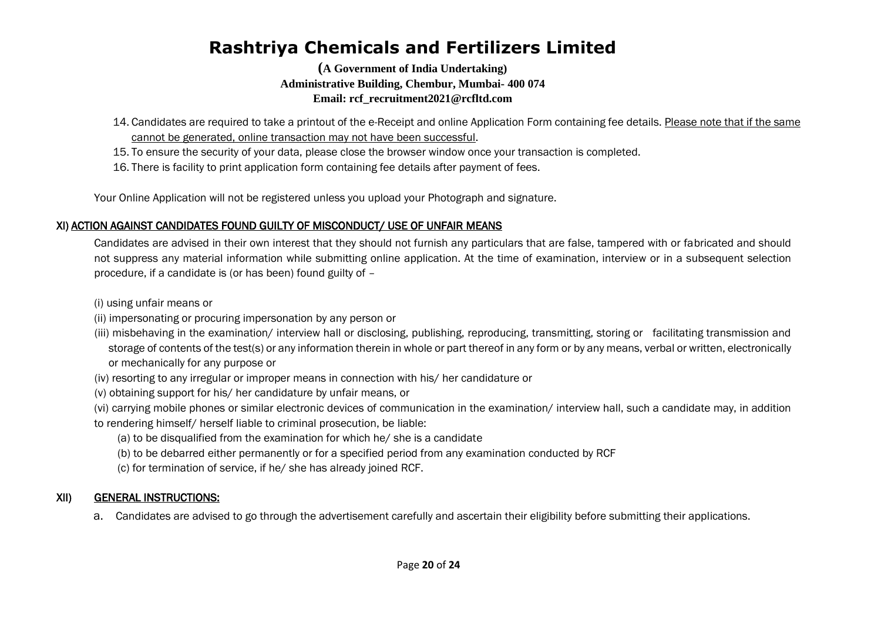**(A Government of India Undertaking) Administrative Building, Chembur, Mumbai- 400 074 Email: rcf\_recruitment2021@rcfltd.com**

- 14. Candidates are required to take a printout of the e-Receipt and online Application Form containing fee details. Please note that if the same cannot be generated, online transaction may not have been successful.
- 15. To ensure the security of your data, please close the browser window once your transaction is completed.
- 16. There is facility to print application form containing fee details after payment of fees.

Your Online Application will not be registered unless you upload your Photograph and signature.

### XI) ACTION AGAINST CANDIDATES FOUND GUILTY OF MISCONDUCT/ USE OF UNFAIR MEANS

Candidates are advised in their own interest that they should not furnish any particulars that are false, tampered with or fabricated and should not suppress any material information while submitting online application. At the time of examination, interview or in a subsequent selection procedure, if a candidate is (or has been) found guilty of –

(i) using unfair means or

- (ii) impersonating or procuring impersonation by any person or
- (iii) misbehaving in the examination/ interview hall or disclosing, publishing, reproducing, transmitting, storing or facilitating transmission and storage of contents of the test(s) or any information therein in whole or part thereof in any form or by any means, verbal or written, electronically or mechanically for any purpose or
- (iv) resorting to any irregular or improper means in connection with his/ her candidature or
- (v) obtaining support for his/ her candidature by unfair means, or

(vi) carrying mobile phones or similar electronic devices of communication in the examination/ interview hall, such a candidate may, in addition to rendering himself/ herself liable to criminal prosecution, be liable:

- (a) to be disqualified from the examination for which he/ she is a candidate
- (b) to be debarred either permanently or for a specified period from any examination conducted by RCF
- (c) for termination of service, if he/ she has already joined RCF.

### XII) GENERAL INSTRUCTIONS:

a. Candidates are advised to go through the advertisement carefully and ascertain their eligibility before submitting their applications.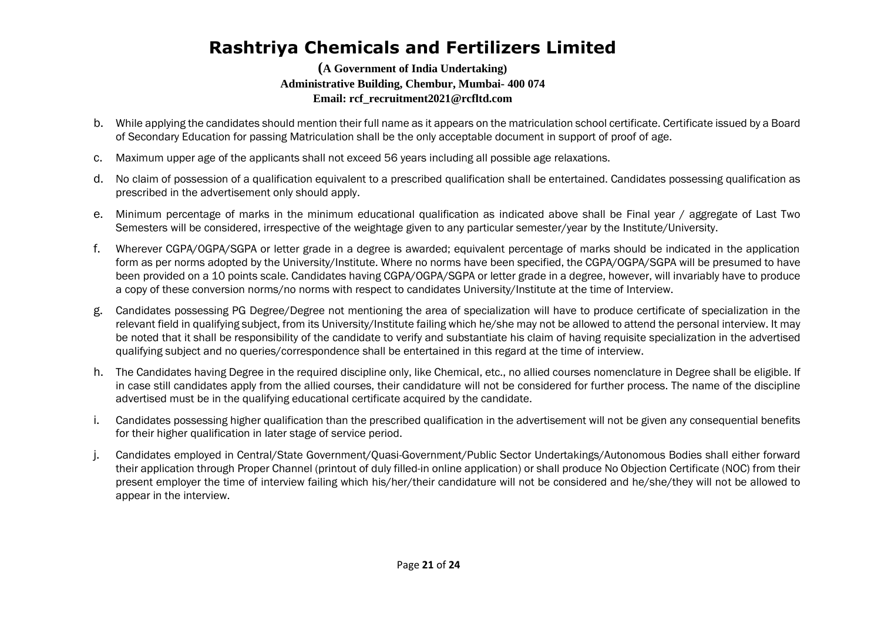- b. While applying the candidates should mention their full name as it appears on the matriculation school certificate. Certificate issued by a Board of Secondary Education for passing Matriculation shall be the only acceptable document in support of proof of age.
- c. Maximum upper age of the applicants shall not exceed 56 years including all possible age relaxations.
- d. No claim of possession of a qualification equivalent to a prescribed qualification shall be entertained. Candidates possessing qualification as prescribed in the advertisement only should apply.
- e. Minimum percentage of marks in the minimum educational qualification as indicated above shall be Final year / aggregate of Last Two Semesters will be considered, irrespective of the weightage given to any particular semester/year by the Institute/University.
- f. Wherever CGPA/OGPA/SGPA or letter grade in a degree is awarded; equivalent percentage of marks should be indicated in the application form as per norms adopted by the University/Institute. Where no norms have been specified, the CGPA/OGPA/SGPA will be presumed to have been provided on a 10 points scale. Candidates having CGPA/OGPA/SGPA or letter grade in a degree, however, will invariably have to produce a copy of these conversion norms/no norms with respect to candidates University/Institute at the time of Interview.
- g. Candidates possessing PG Degree/Degree not mentioning the area of specialization will have to produce certificate of specialization in the relevant field in qualifying subject, from its University/Institute failing which he/she may not be allowed to attend the personal interview. It may be noted that it shall be responsibility of the candidate to verify and substantiate his claim of having requisite specialization in the advertised qualifying subject and no queries/correspondence shall be entertained in this regard at the time of interview.
- h. The Candidates having Degree in the required discipline only, like Chemical, etc., no allied courses nomenclature in Degree shall be eligible. If in case still candidates apply from the allied courses, their candidature will not be considered for further process. The name of the discipline advertised must be in the qualifying educational certificate acquired by the candidate.
- i. Candidates possessing higher qualification than the prescribed qualification in the advertisement will not be given any consequential benefits for their higher qualification in later stage of service period.
- j. Candidates employed in Central/State Government/Quasi-Government/Public Sector Undertakings/Autonomous Bodies shall either forward their application through Proper Channel (printout of duly filled-in online application) or shall produce No Objection Certificate (NOC) from their present employer the time of interview failing which his/her/their candidature will not be considered and he/she/they will not be allowed to appear in the interview.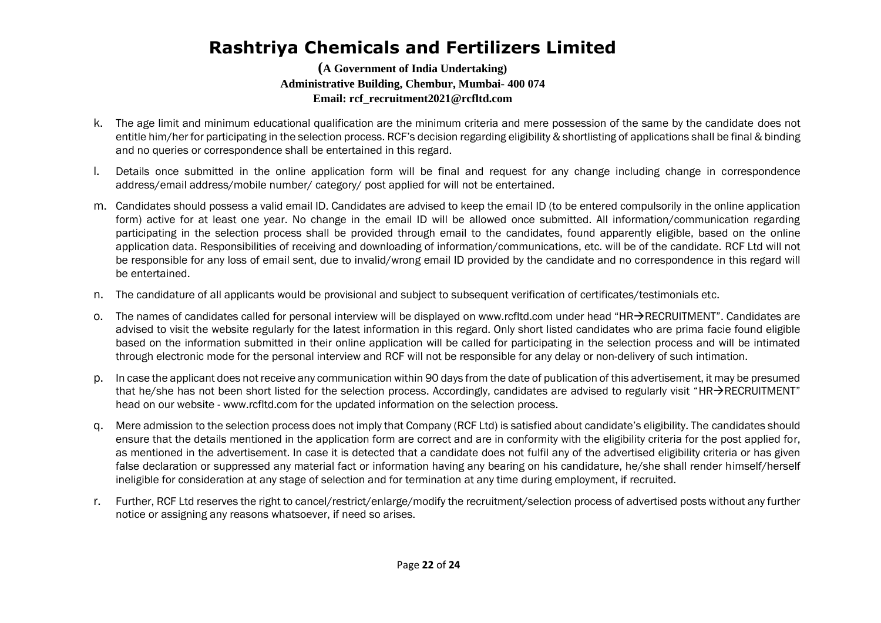- k. The age limit and minimum educational qualification are the minimum criteria and mere possession of the same by the candidate does not entitle him/her for participating in the selection process. RCF's decision regarding eligibility & shortlisting of applications shall be final & binding and no queries or correspondence shall be entertained in this regard.
- l. Details once submitted in the online application form will be final and request for any change including change in correspondence address/email address/mobile number/ category/ post applied for will not be entertained.
- m. Candidates should possess a valid email ID. Candidates are advised to keep the email ID (to be entered compulsorily in the online application form) active for at least one year. No change in the email ID will be allowed once submitted. All information/communication regarding participating in the selection process shall be provided through email to the candidates, found apparently eligible, based on the online application data. Responsibilities of receiving and downloading of information/communications, etc. will be of the candidate. RCF Ltd will not be responsible for any loss of email sent, due to invalid/wrong email ID provided by the candidate and no correspondence in this regard will be entertained.
- n. The candidature of all applicants would be provisional and subject to subsequent verification of certificates/testimonials etc.
- o. The names of candidates called for personal interview will be displayed on www.rcfltd.com under head "HR $\rightarrow$ RECRUITMENT". Candidates are advised to visit the website regularly for the latest information in this regard. Only short listed candidates who are prima facie found eligible based on the information submitted in their online application will be called for participating in the selection process and will be intimated through electronic mode for the personal interview and RCF will not be responsible for any delay or non-delivery of such intimation.
- p. In case the applicant does not receive any communication within 90 days from the date of publication of this advertisement, it may be presumed that he/she has not been short listed for the selection process. Accordingly, candidates are advised to regularly visit "HR $\rightarrow$ RECRUITMENT" head on our website - www.rcfltd.com for the updated information on the selection process.
- q. Mere admission to the selection process does not imply that Company (RCF Ltd) is satisfied about candidate's eligibility. The candidates should ensure that the details mentioned in the application form are correct and are in conformity with the eligibility criteria for the post applied for, as mentioned in the advertisement. In case it is detected that a candidate does not fulfil any of the advertised eligibility criteria or has given false declaration or suppressed any material fact or information having any bearing on his candidature, he/she shall render himself/herself ineligible for consideration at any stage of selection and for termination at any time during employment, if recruited.
- r. Further, RCF Ltd reserves the right to cancel/restrict/enlarge/modify the recruitment/selection process of advertised posts without any further notice or assigning any reasons whatsoever, if need so arises.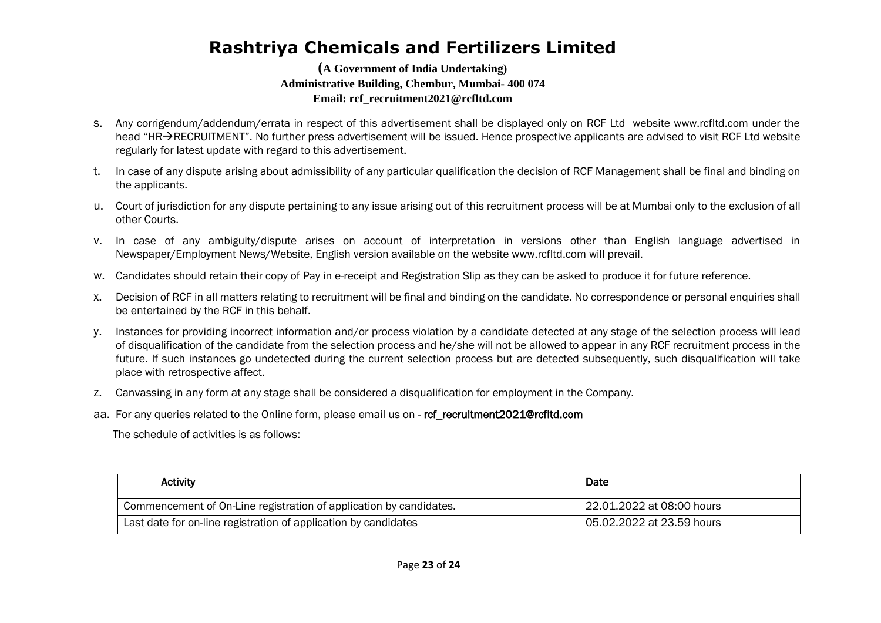#### **(A Government of India Undertaking) Administrative Building, Chembur, Mumbai- 400 074 Email: rcf\_recruitment2021@rcfltd.com**

- s. Any corrigendum/addendum/errata in respect of this advertisement shall be displayed only on RCF Ltd website www.rcfltd.com under the head "HR $\rightarrow$ RECRUITMENT". No further press advertisement will be issued. Hence prospective applicants are advised to visit RCF Ltd website regularly for latest update with regard to this advertisement.
- t. In case of any dispute arising about admissibility of any particular qualification the decision of RCF Management shall be final and binding on the applicants.
- u. Court of jurisdiction for any dispute pertaining to any issue arising out of this recruitment process will be at Mumbai only to the exclusion of all other Courts.
- v. In case of any ambiguity/dispute arises on account of interpretation in versions other than English language advertised in Newspaper/Employment News/Website, English version available on the website www.rcfltd.com will prevail.
- w. Candidates should retain their copy of Pay in e-receipt and Registration Slip as they can be asked to produce it for future reference.
- x. Decision of RCF in all matters relating to recruitment will be final and binding on the candidate. No correspondence or personal enquiries shall be entertained by the RCF in this behalf.
- y. Instances for providing incorrect information and/or process violation by a candidate detected at any stage of the selection process will lead of disqualification of the candidate from the selection process and he/she will not be allowed to appear in any RCF recruitment process in the future. If such instances go undetected during the current selection process but are detected subsequently, such disqualification will take place with retrospective affect.
- z. Canvassing in any form at any stage shall be considered a disqualification for employment in the Company.
- aa. For any queries related to the Online form, please email us on ref recruitment2021@rcfltd.com

The schedule of activities is as follows:

| <b>Activity</b>                                                    | Date                      |
|--------------------------------------------------------------------|---------------------------|
| Commencement of On-Line registration of application by candidates. | 22.01.2022 at 08:00 hours |
| Last date for on-line registration of application by candidates    | 05.02.2022 at 23.59 hours |